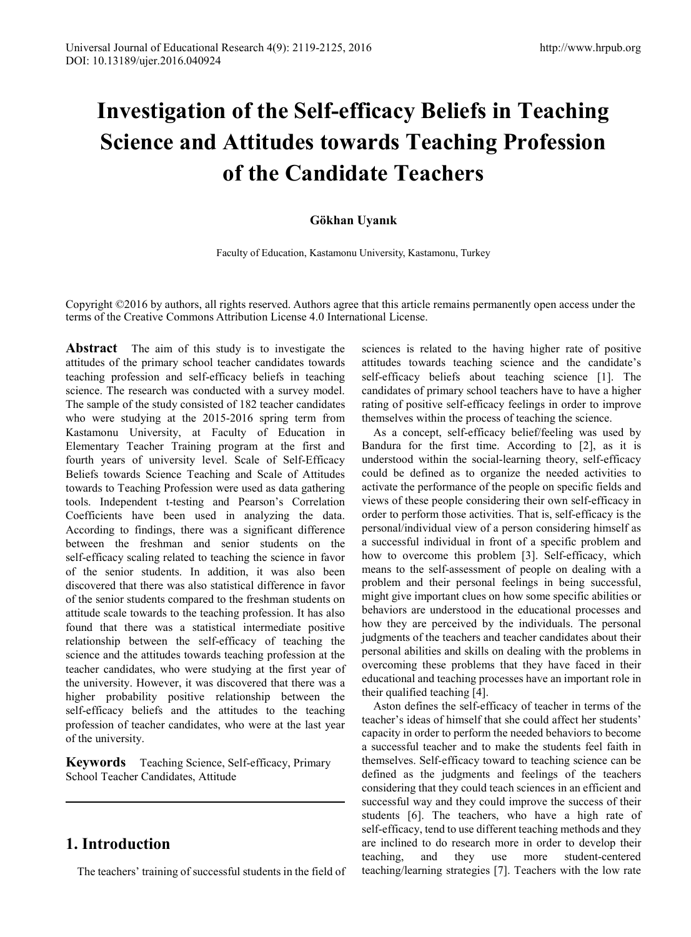# **Investigation of the Self-efficacy Beliefs in Teaching Science and Attitudes towards Teaching Profession of the Candidate Teachers**

### **Gökhan Uyanık**

Faculty of Education, Kastamonu University, Kastamonu, Turkey

Copyright ©2016 by authors, all rights reserved. Authors agree that this article remains permanently open access under the terms of the Creative Commons Attribution License 4.0 International License.

**Abstract** The aim of this study is to investigate the attitudes of the primary school teacher candidates towards teaching profession and self-efficacy beliefs in teaching science. The research was conducted with a survey model. The sample of the study consisted of 182 teacher candidates who were studying at the 2015-2016 spring term from Kastamonu University, at Faculty of Education in Elementary Teacher Training program at the first and fourth years of university level. Scale of Self-Efficacy Beliefs towards Science Teaching and Scale of Attitudes towards to Teaching Profession were used as data gathering tools. Independent t-testing and Pearson's Correlation Coefficients have been used in analyzing the data. According to findings, there was a significant difference between the freshman and senior students on the self-efficacy scaling related to teaching the science in favor of the senior students. In addition, it was also been discovered that there was also statistical difference in favor of the senior students compared to the freshman students on attitude scale towards to the teaching profession. It has also found that there was a statistical intermediate positive relationship between the self-efficacy of teaching the science and the attitudes towards teaching profession at the teacher candidates, who were studying at the first year of the university. However, it was discovered that there was a higher probability positive relationship between the self-efficacy beliefs and the attitudes to the teaching profession of teacher candidates, who were at the last year of the university.

**Keywords** Teaching Science, Self-efficacy, Primary School Teacher Candidates, Attitude

# **1. Introduction**

The teachers' training of successful students in the field of

sciences is related to the having higher rate of positive attitudes towards teaching science and the candidate's self-efficacy beliefs about teaching science [1]. The candidates of primary school teachers have to have a higher rating of positive self-efficacy feelings in order to improve themselves within the process of teaching the science.

As a concept, self-efficacy belief/feeling was used by Bandura for the first time. According to [2], as it is understood within the social-learning theory, self-efficacy could be defined as to organize the needed activities to activate the performance of the people on specific fields and views of these people considering their own self-efficacy in order to perform those activities. That is, self-efficacy is the personal/individual view of a person considering himself as a successful individual in front of a specific problem and how to overcome this problem [3]. Self-efficacy, which means to the self-assessment of people on dealing with a problem and their personal feelings in being successful, might give important clues on how some specific abilities or behaviors are understood in the educational processes and how they are perceived by the individuals. The personal judgments of the teachers and teacher candidates about their personal abilities and skills on dealing with the problems in overcoming these problems that they have faced in their educational and teaching processes have an important role in their qualified teaching [4].

Aston defines the self-efficacy of teacher in terms of the teacher's ideas of himself that she could affect her students' capacity in order to perform the needed behaviors to become a successful teacher and to make the students feel faith in themselves. Self-efficacy toward to teaching science can be defined as the judgments and feelings of the teachers considering that they could teach sciences in an efficient and successful way and they could improve the success of their students [6]. The teachers, who have a high rate of self-efficacy, tend to use different teaching methods and they are inclined to do research more in order to develop their teaching, and they use more student-centered teaching/learning strategies [7]. Teachers with the low rate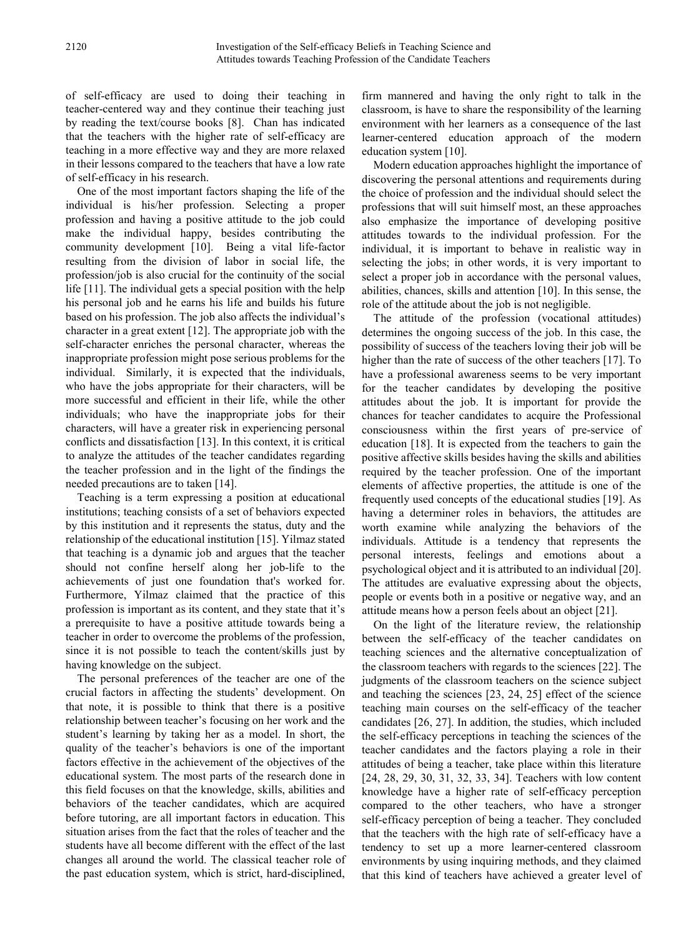of self-efficacy are used to doing their teaching in teacher-centered way and they continue their teaching just by reading the text/course books [8]. Chan has indicated that the teachers with the higher rate of self-efficacy are teaching in a more effective way and they are more relaxed in their lessons compared to the teachers that have a low rate of self-efficacy in his research.

One of the most important factors shaping the life of the individual is his/her profession. Selecting a proper profession and having a positive attitude to the job could make the individual happy, besides contributing the community development [10]. Being a vital life-factor resulting from the division of labor in social life, the profession/job is also crucial for the continuity of the social life [11]. The individual gets a special position with the help his personal job and he earns his life and builds his future based on his profession. The job also affects the individual's character in a great extent [12]. The appropriate job with the self-character enriches the personal character, whereas the inappropriate profession might pose serious problems for the individual. Similarly, it is expected that the individuals, who have the jobs appropriate for their characters, will be more successful and efficient in their life, while the other individuals; who have the inappropriate jobs for their characters, will have a greater risk in experiencing personal conflicts and dissatisfaction [13]. In this context, it is critical to analyze the attitudes of the teacher candidates regarding the teacher profession and in the light of the findings the needed precautions are to taken [14].

Teaching is a term expressing a position at educational institutions; teaching consists of a set of behaviors expected by this institution and it represents the status, duty and the relationship of the educational institution [15]. Yilmaz stated that teaching is a dynamic job and argues that the teacher should not confine herself along her job-life to the achievements of just one foundation that's worked for. Furthermore, Yilmaz claimed that the practice of this profession is important as its content, and they state that it's a prerequisite to have a positive attitude towards being a teacher in order to overcome the problems of the profession, since it is not possible to teach the content/skills just by having knowledge on the subject.

The personal preferences of the teacher are one of the crucial factors in affecting the students' development. On that note, it is possible to think that there is a positive relationship between teacher's focusing on her work and the student's learning by taking her as a model. In short, the quality of the teacher's behaviors is one of the important factors effective in the achievement of the objectives of the educational system. The most parts of the research done in this field focuses on that the knowledge, skills, abilities and behaviors of the teacher candidates, which are acquired before tutoring, are all important factors in education. This situation arises from the fact that the roles of teacher and the students have all become different with the effect of the last changes all around the world. The classical teacher role of the past education system, which is strict, hard-disciplined, firm mannered and having the only right to talk in the classroom, is have to share the responsibility of the learning environment with her learners as a consequence of the last learner-centered education approach of the modern education system [10].

Modern education approaches highlight the importance of discovering the personal attentions and requirements during the choice of profession and the individual should select the professions that will suit himself most, an these approaches also emphasize the importance of developing positive attitudes towards to the individual profession. For the individual, it is important to behave in realistic way in selecting the jobs; in other words, it is very important to select a proper job in accordance with the personal values, abilities, chances, skills and attention [10]. In this sense, the role of the attitude about the job is not negligible.

The attitude of the profession (vocational attitudes) determines the ongoing success of the job. In this case, the possibility of success of the teachers loving their job will be higher than the rate of success of the other teachers [17]. To have a professional awareness seems to be very important for the teacher candidates by developing the positive attitudes about the job. It is important for provide the chances for teacher candidates to acquire the Professional consciousness within the first years of pre-service of education [18]. It is expected from the teachers to gain the positive affective skills besides having the skills and abilities required by the teacher profession. One of the important elements of affective properties, the attitude is one of the frequently used concepts of the educational studies [19]. As having a determiner roles in behaviors, the attitudes are worth examine while analyzing the behaviors of the individuals. Attitude is a tendency that represents the personal interests, feelings and emotions about a psychological object and it is attributed to an individual [20]. The attitudes are evaluative expressing about the objects, people or events both in a positive or negative way, and an attitude means how a person feels about an object [21].

On the light of the literature review, the relationship between the self-efficacy of the teacher candidates on teaching sciences and the alternative conceptualization of the classroom teachers with regards to the sciences [22]. The judgments of the classroom teachers on the science subject and teaching the sciences [23, 24, 25] effect of the science teaching main courses on the self-efficacy of the teacher candidates [26, 27]. In addition, the studies, which included the self-efficacy perceptions in teaching the sciences of the teacher candidates and the factors playing a role in their attitudes of being a teacher, take place within this literature [24, 28, 29, 30, 31, 32, 33, 34]. Teachers with low content knowledge have a higher rate of self-efficacy perception compared to the other teachers, who have a stronger self-efficacy perception of being a teacher. They concluded that the teachers with the high rate of self-efficacy have a tendency to set up a more learner-centered classroom environments by using inquiring methods, and they claimed that this kind of teachers have achieved a greater level of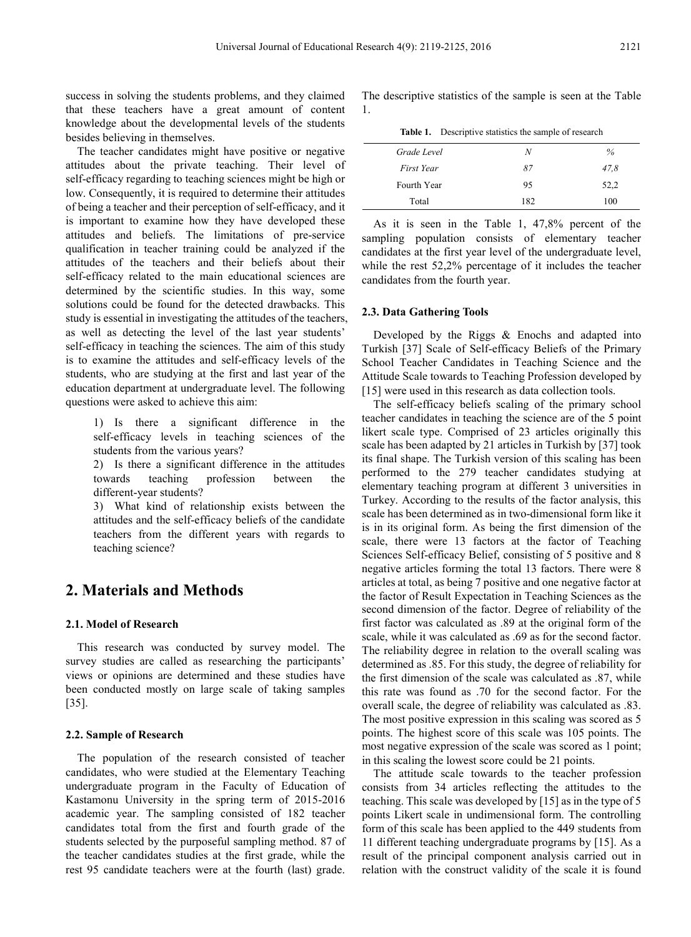success in solving the students problems, and they claimed that these teachers have a great amount of content knowledge about the developmental levels of the students besides believing in themselves.

The teacher candidates might have positive or negative attitudes about the private teaching. Their level of self-efficacy regarding to teaching sciences might be high or low. Consequently, it is required to determine their attitudes of being a teacher and their perception of self-efficacy, and it is important to examine how they have developed these attitudes and beliefs. The limitations of pre-service qualification in teacher training could be analyzed if the attitudes of the teachers and their beliefs about their self-efficacy related to the main educational sciences are determined by the scientific studies. In this way, some solutions could be found for the detected drawbacks. This study is essential in investigating the attitudes of the teachers, as well as detecting the level of the last year students' self-efficacy in teaching the sciences. The aim of this study is to examine the attitudes and self-efficacy levels of the students, who are studying at the first and last year of the education department at undergraduate level. The following questions were asked to achieve this aim:

1) Is there a significant difference in the self-efficacy levels in teaching sciences of the students from the various years?

2) Is there a significant difference in the attitudes towards teaching profession between the different-year students?

3) What kind of relationship exists between the attitudes and the self-efficacy beliefs of the candidate teachers from the different years with regards to teaching science?

## **2. Materials and Methods**

#### **2.1. Model of Research**

This research was conducted by survey model. The survey studies are called as researching the participants' views or opinions are determined and these studies have been conducted mostly on large scale of taking samples [35].

#### **2.2. Sample of Research**

The population of the research consisted of teacher candidates, who were studied at the Elementary Teaching undergraduate program in the Faculty of Education of Kastamonu University in the spring term of 2015-2016 academic year. The sampling consisted of 182 teacher candidates total from the first and fourth grade of the students selected by the purposeful sampling method. 87 of the teacher candidates studies at the first grade, while the rest 95 candidate teachers were at the fourth (last) grade.

The descriptive statistics of the sample is seen at the Table 1.

| Table 1. | Descriptive statistics the sample of research |  |  |  |
|----------|-----------------------------------------------|--|--|--|
|----------|-----------------------------------------------|--|--|--|

| Grade Level | N   | $\%$ |
|-------------|-----|------|
| First Year  | 87  | 47.8 |
| Fourth Year | 95  | 52,2 |
| Total       | 182 | 100  |

As it is seen in the Table 1, 47,8% percent of the sampling population consists of elementary teacher candidates at the first year level of the undergraduate level, while the rest 52,2% percentage of it includes the teacher candidates from the fourth year.

#### **2.3. Data Gathering Tools**

Developed by the Riggs & Enochs and adapted into Turkish [37] Scale of Self-efficacy Beliefs of the Primary School Teacher Candidates in Teaching Science and the Attitude Scale towards to Teaching Profession developed by [15] were used in this research as data collection tools.

The self-efficacy beliefs scaling of the primary school teacher candidates in teaching the science are of the 5 point likert scale type. Comprised of 23 articles originally this scale has been adapted by 21 articles in Turkish by [37] took its final shape. The Turkish version of this scaling has been performed to the 279 teacher candidates studying at elementary teaching program at different 3 universities in Turkey. According to the results of the factor analysis, this scale has been determined as in two-dimensional form like it is in its original form. As being the first dimension of the scale, there were 13 factors at the factor of Teaching Sciences Self-efficacy Belief, consisting of 5 positive and 8 negative articles forming the total 13 factors. There were 8 articles at total, as being 7 positive and one negative factor at the factor of Result Expectation in Teaching Sciences as the second dimension of the factor. Degree of reliability of the first factor was calculated as .89 at the original form of the scale, while it was calculated as .69 as for the second factor. The reliability degree in relation to the overall scaling was determined as .85. For this study, the degree of reliability for the first dimension of the scale was calculated as .87, while this rate was found as .70 for the second factor. For the overall scale, the degree of reliability was calculated as .83. The most positive expression in this scaling was scored as 5 points. The highest score of this scale was 105 points. The most negative expression of the scale was scored as 1 point; in this scaling the lowest score could be 21 points.

The attitude scale towards to the teacher profession consists from 34 articles reflecting the attitudes to the teaching. This scale was developed by [15] as in the type of 5 points Likert scale in undimensional form. The controlling form of this scale has been applied to the 449 students from 11 different teaching undergraduate programs by [15]. As a result of the principal component analysis carried out in relation with the construct validity of the scale it is found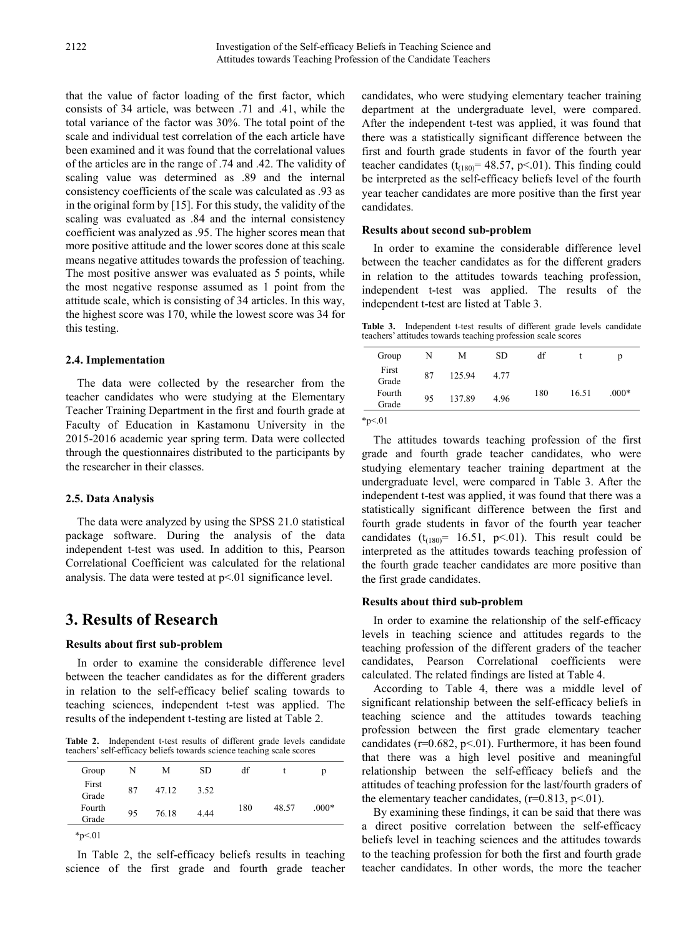that the value of factor loading of the first factor, which consists of 34 article, was between .71 and .41, while the total variance of the factor was 30%. The total point of the scale and individual test correlation of the each article have been examined and it was found that the correlational values of the articles are in the range of .74 and .42. The validity of scaling value was determined as .89 and the internal consistency coefficients of the scale was calculated as .93 as in the original form by [15]. For this study, the validity of the scaling was evaluated as .84 and the internal consistency coefficient was analyzed as .95. The higher scores mean that more positive attitude and the lower scores done at this scale means negative attitudes towards the profession of teaching. The most positive answer was evaluated as 5 points, while the most negative response assumed as 1 point from the attitude scale, which is consisting of 34 articles. In this way, the highest score was 170, while the lowest score was 34 for this testing.

#### **2.4. Implementation**

The data were collected by the researcher from the teacher candidates who were studying at the Elementary Teacher Training Department in the first and fourth grade at Faculty of Education in Kastamonu University in the 2015-2016 academic year spring term. Data were collected through the questionnaires distributed to the participants by the researcher in their classes.

#### **2.5. Data Analysis**

The data were analyzed by using the SPSS 21.0 statistical package software. During the analysis of the data independent t-test was used. In addition to this, Pearson Correlational Coefficient was calculated for the relational analysis. The data were tested at  $p<01$  significance level.

## **3. Results of Research**

#### **Results about first sub-problem**

In order to examine the considerable difference level between the teacher candidates as for the different graders in relation to the self-efficacy belief scaling towards to teaching sciences, independent t-test was applied. The results of the independent t-testing are listed at Table 2.

**Table 2.** Independent t-test results of different grade levels candidate teachers' self-efficacy beliefs towards science teaching scale scores

| Group           | N  | М     | <b>SD</b> | df  |       | р       |
|-----------------|----|-------|-----------|-----|-------|---------|
| First<br>Grade  | 87 | 47.12 | 3.52      |     |       |         |
| Fourth<br>Grade | 95 | 76.18 | 4.44      | 180 | 48.57 | $.000*$ |
| $~^{*}p<.01$    |    |       |           |     |       |         |

In Table 2, the self-efficacy beliefs results in teaching science of the first grade and fourth grade teacher candidates, who were studying elementary teacher training department at the undergraduate level, were compared. After the independent t-test was applied, it was found that there was a statistically significant difference between the first and fourth grade students in favor of the fourth year teacher candidates ( $t_{(180)}$ = 48.57, p<.01). This finding could be interpreted as the self-efficacy beliefs level of the fourth year teacher candidates are more positive than the first year candidates.

#### **Results about second sub-problem**

In order to examine the considerable difference level between the teacher candidates as for the different graders in relation to the attitudes towards teaching profession, independent t-test was applied. The results of the independent t-test are listed at Table 3.

**Table 3.** Independent t-test results of different grade levels candidate teachers' attitudes towards teaching profession scale scores

| Group           | N  | М      | <b>SD</b> | df  |       | p       |
|-----------------|----|--------|-----------|-----|-------|---------|
| First<br>Grade  | 87 | 125.94 | 4 7 7     |     |       |         |
| Fourth<br>Grade | 95 | 137.89 | 4.96      | 180 | 16.51 | $.000*$ |
|                 |    |        |           |     |       |         |

 $*p<.01$ 

The attitudes towards teaching profession of the first grade and fourth grade teacher candidates, who were studying elementary teacher training department at the undergraduate level, were compared in Table 3. After the independent t-test was applied, it was found that there was a statistically significant difference between the first and fourth grade students in favor of the fourth year teacher candidates  $(t_{(180)} = 16.51, p<0.01)$ . This result could be interpreted as the attitudes towards teaching profession of the fourth grade teacher candidates are more positive than the first grade candidates.

#### **Results about third sub-problem**

In order to examine the relationship of the self-efficacy levels in teaching science and attitudes regards to the teaching profession of the different graders of the teacher candidates, Pearson Correlational coefficients were calculated. The related findings are listed at Table 4.

According to Table 4, there was a middle level of significant relationship between the self-efficacy beliefs in teaching science and the attitudes towards teaching profession between the first grade elementary teacher candidates ( $r=0.682$ ,  $p<.01$ ). Furthermore, it has been found that there was a high level positive and meaningful relationship between the self-efficacy beliefs and the attitudes of teaching profession for the last/fourth graders of the elementary teacher candidates,  $(r=0.813, p<0.01)$ .

By examining these findings, it can be said that there was a direct positive correlation between the self-efficacy beliefs level in teaching sciences and the attitudes towards to the teaching profession for both the first and fourth grade teacher candidates. In other words, the more the teacher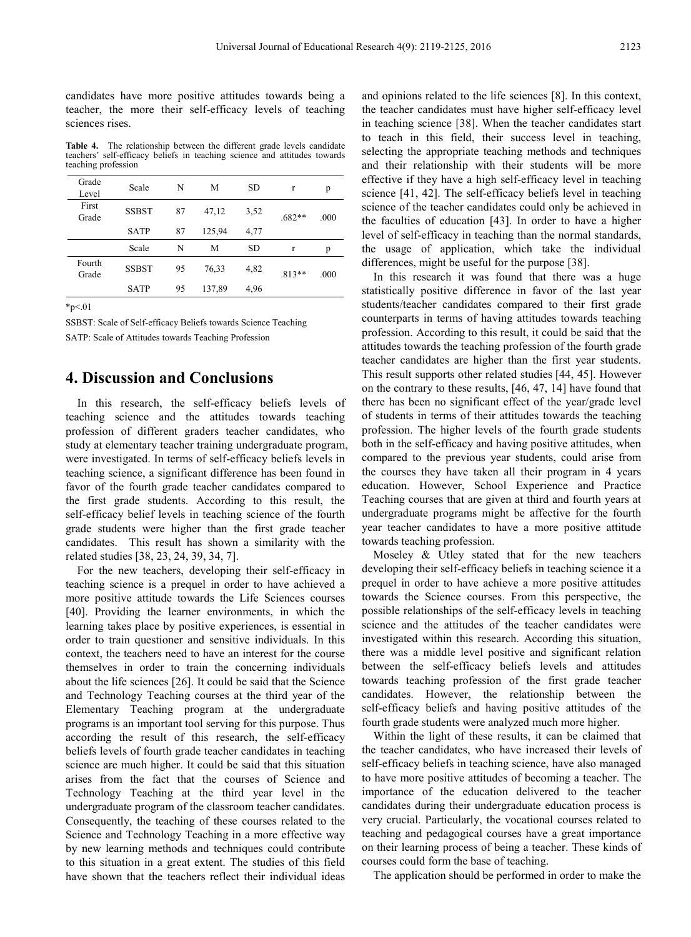candidates have more positive attitudes towards being a teacher, the more their self-efficacy levels of teaching sciences rises.

**Table 4.** The relationship between the different grade levels candidate teachers' self-efficacy beliefs in teaching science and attitudes towards teaching profession

| Grade<br>Level  | Scale        | N  | М      | <b>SD</b> | $\mathbf{r}$ | p    |
|-----------------|--------------|----|--------|-----------|--------------|------|
| First<br>Grade  | <b>SSBST</b> | 87 | 47,12  | 3,52      | $.682**$     | .000 |
|                 | <b>SATP</b>  | 87 | 125,94 | 4,77      |              |      |
|                 | Scale        | N  | М      | <b>SD</b> | $\mathbf{r}$ | p    |
| Fourth<br>Grade | <b>SSBST</b> | 95 | 76,33  | 4,82      | $.813**$     | .000 |
|                 | <b>SATP</b>  | 95 | 137,89 | 4,96      |              |      |

 $*_{p<.01}$ 

SSBST: Scale of Self-efficacy Beliefs towards Science Teaching SATP: Scale of Attitudes towards Teaching Profession

## **4. Discussion and Conclusions**

In this research, the self-efficacy beliefs levels of teaching science and the attitudes towards teaching profession of different graders teacher candidates, who study at elementary teacher training undergraduate program, were investigated. In terms of self-efficacy beliefs levels in teaching science, a significant difference has been found in favor of the fourth grade teacher candidates compared to the first grade students. According to this result, the self-efficacy belief levels in teaching science of the fourth grade students were higher than the first grade teacher candidates. This result has shown a similarity with the related studies [38, 23, 24, 39, 34, 7].

For the new teachers, developing their self-efficacy in teaching science is a prequel in order to have achieved a more positive attitude towards the Life Sciences courses [40]. Providing the learner environments, in which the learning takes place by positive experiences, is essential in order to train questioner and sensitive individuals. In this context, the teachers need to have an interest for the course themselves in order to train the concerning individuals about the life sciences [26]. It could be said that the Science and Technology Teaching courses at the third year of the Elementary Teaching program at the undergraduate programs is an important tool serving for this purpose. Thus according the result of this research, the self-efficacy beliefs levels of fourth grade teacher candidates in teaching science are much higher. It could be said that this situation arises from the fact that the courses of Science and Technology Teaching at the third year level in the undergraduate program of the classroom teacher candidates. Consequently, the teaching of these courses related to the Science and Technology Teaching in a more effective way by new learning methods and techniques could contribute to this situation in a great extent. The studies of this field have shown that the teachers reflect their individual ideas and opinions related to the life sciences [8]. In this context, the teacher candidates must have higher self-efficacy level in teaching science [38]. When the teacher candidates start to teach in this field, their success level in teaching, selecting the appropriate teaching methods and techniques and their relationship with their students will be more effective if they have a high self-efficacy level in teaching science [41, 42]. The self-efficacy beliefs level in teaching science of the teacher candidates could only be achieved in the faculties of education [43]. In order to have a higher level of self-efficacy in teaching than the normal standards, the usage of application, which take the individual differences, might be useful for the purpose [38].

In this research it was found that there was a huge statistically positive difference in favor of the last year students/teacher candidates compared to their first grade counterparts in terms of having attitudes towards teaching profession. According to this result, it could be said that the attitudes towards the teaching profession of the fourth grade teacher candidates are higher than the first year students. This result supports other related studies [44, 45]. However on the contrary to these results, [46, 47, 14] have found that there has been no significant effect of the year/grade level of students in terms of their attitudes towards the teaching profession. The higher levels of the fourth grade students both in the self-efficacy and having positive attitudes, when compared to the previous year students, could arise from the courses they have taken all their program in 4 years education. However, School Experience and Practice Teaching courses that are given at third and fourth years at undergraduate programs might be affective for the fourth year teacher candidates to have a more positive attitude towards teaching profession.

Moseley & Utley stated that for the new teachers developing their self-efficacy beliefs in teaching science it a prequel in order to have achieve a more positive attitudes towards the Science courses. From this perspective, the possible relationships of the self-efficacy levels in teaching science and the attitudes of the teacher candidates were investigated within this research. According this situation, there was a middle level positive and significant relation between the self-efficacy beliefs levels and attitudes towards teaching profession of the first grade teacher candidates. However, the relationship between the self-efficacy beliefs and having positive attitudes of the fourth grade students were analyzed much more higher.

Within the light of these results, it can be claimed that the teacher candidates, who have increased their levels of self-efficacy beliefs in teaching science, have also managed to have more positive attitudes of becoming a teacher. The importance of the education delivered to the teacher candidates during their undergraduate education process is very crucial. Particularly, the vocational courses related to teaching and pedagogical courses have a great importance on their learning process of being a teacher. These kinds of courses could form the base of teaching.

The application should be performed in order to make the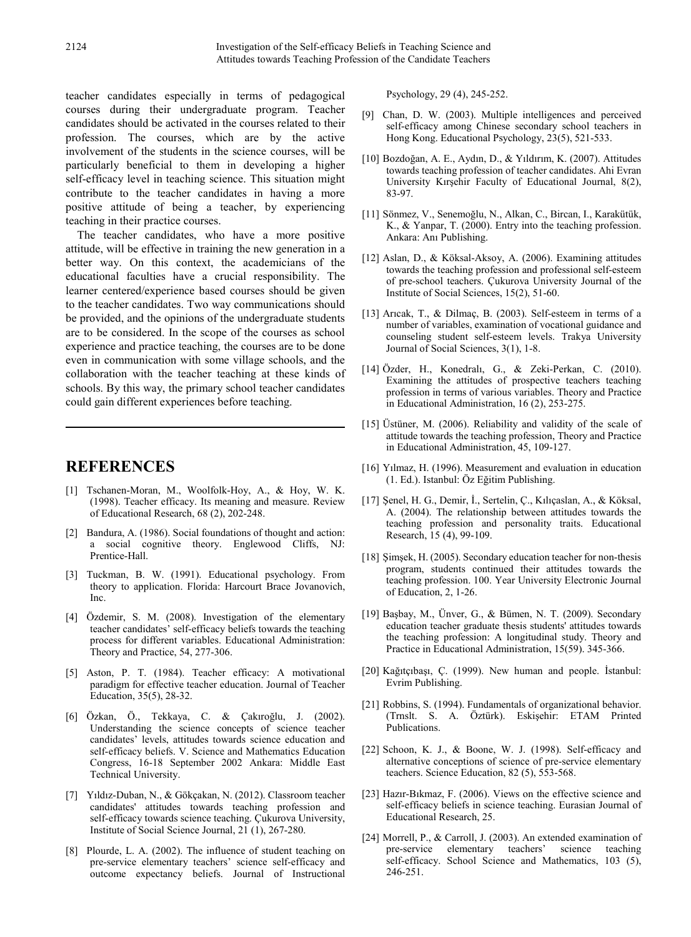teacher candidates especially in terms of pedagogical courses during their undergraduate program. Teacher candidates should be activated in the courses related to their profession. The courses, which are by the active involvement of the students in the science courses, will be particularly beneficial to them in developing a higher self-efficacy level in teaching science. This situation might contribute to the teacher candidates in having a more positive attitude of being a teacher, by experiencing teaching in their practice courses.

The teacher candidates, who have a more positive attitude, will be effective in training the new generation in a better way. On this context, the academicians of the educational faculties have a crucial responsibility. The learner centered/experience based courses should be given to the teacher candidates. Two way communications should be provided, and the opinions of the undergraduate students are to be considered. In the scope of the courses as school experience and practice teaching, the courses are to be done even in communication with some village schools, and the collaboration with the teacher teaching at these kinds of schools. By this way, the primary school teacher candidates could gain different experiences before teaching.

## **REFERENCES**

- [1] Tschanen-Moran, M., Woolfolk-Hoy, A., & Hoy, W. K. (1998). Teacher efficacy. Its meaning and measure. Review of Educational Research, 68 (2), 202-248.
- [2] Bandura, A. (1986). Social foundations of thought and action: a social cognitive theory. Englewood Cliffs, NJ: Prentice-Hall.
- [3] Tuckman, B. W. (1991). Educational psychology. From theory to application. Florida: Harcourt Brace Jovanovich, Inc.
- [4] Özdemir, S. M. (2008). Investigation of the elementary teacher candidates' self-efficacy beliefs towards the teaching process for different variables. Educational Administration: Theory and Practice, 54, 277-306.
- [5] Aston, P. T. (1984). Teacher efficacy: A motivational paradigm for effective teacher education. Journal of Teacher Education, 35(5), 28-32.
- [6] Özkan, Ö., Tekkaya, C. & Çakıroğlu, J. (2002). Understanding the science concepts of science teacher candidates' levels, attitudes towards science education and self-efficacy beliefs. V. Science and Mathematics Education Congress, 16-18 September 2002 Ankara: Middle East Technical University.
- [7] Yıldız-Duban, N., & Gökçakan, N. (2012). Classroom teacher candidates' attitudes towards teaching profession and self-efficacy towards science teaching. Çukurova University, Institute of Social Science Journal, 21 (1), 267-280.
- [8] Plourde, L. A. (2002). The influence of student teaching on pre-service elementary teachers' science self-efficacy and outcome expectancy beliefs. Journal of Instructional

Psychology, 29 (4), 245-252.

- [9] Chan, D. W. (2003). Multiple intelligences and perceived self-efficacy among Chinese secondary school teachers in Hong Kong. Educational Psychology, 23(5), 521-533.
- [10] Bozdoğan, A. E., Aydın, D., & Yıldırım, K. (2007). Attitudes towards teaching profession of teacher candidates. Ahi Evran University Kırşehir Faculty of Educational Journal, 8(2), 83-97.
- [11] Sönmez, V., Senemoğlu, N., Alkan, C., Bircan, I., Karakütük, K., & Yanpar, T. (2000). Entry into the teaching profession. Ankara: Anı Publishing.
- [12] Aslan, D., & Köksal-Aksoy, A. (2006). Examining attitudes towards the teaching profession and professional self-esteem of pre-school teachers. Çukurova University Journal of the Institute of Social Sciences, 15(2), 51-60.
- [13] Arıcak, T., & Dilmaç, B. (2003). Self-esteem in terms of a number of variables, examination of vocational guidance and counseling student self-esteem levels. Trakya University Journal of Social Sciences, 3(1), 1-8.
- [14] Özder, H., Konedralı, G., & Zeki-Perkan, C. (2010). Examining the attitudes of prospective teachers teaching profession in terms of various variables. Theory and Practice in Educational Administration, 16 (2), 253-275.
- [15] Üstüner, M. (2006). Reliability and validity of the scale of attitude towards the teaching profession, Theory and Practice in Educational Administration, 45, 109-127.
- [16] Yılmaz, H. (1996). Measurement and evaluation in education (1. Ed.). Istanbul: Öz Eğitim Publishing.
- [17] Şenel, H. G., Demir, İ., Sertelin, Ç., Kılıçaslan, A., & Köksal, A. (2004). The relationship between attitudes towards the teaching profession and personality traits. Educational Research, 15 (4), 99-109.
- [18] Şimşek, H. (2005). Secondary education teacher for non-thesis program, students continued their attitudes towards the teaching profession. 100. Year University Electronic Journal of Education, 2, 1-26.
- [19] Başbay, M., Ünver, G., & Bümen, N. T. (2009). Secondary education teacher graduate thesis students' attitudes towards the teaching profession: A longitudinal study. Theory and Practice in Educational Administration, 15(59). 345-366.
- [20] Kağıtçıbaşı, Ç. (1999). New human and people. İstanbul: Evrim Publishing.
- [21] Robbins, S. (1994). Fundamentals of organizational behavior. (Trnslt. S. A. Öztürk). Eskişehir: ETAM Printed Publications.
- [22] Schoon, K. J., & Boone, W. J. (1998). Self-efficacy and alternative conceptions of science of pre-service elementary teachers. Science Education, 82 (5), 553-568.
- [23] Hazır-Bıkmaz, F. (2006). Views on the effective science and self-efficacy beliefs in science teaching. Eurasian Journal of Educational Research, 25.
- [24] Morrell, P., & Carroll, J. (2003). An extended examination of pre-service elementary teachers' science teaching self-efficacy. School Science and Mathematics, 103 (5), 246-251.